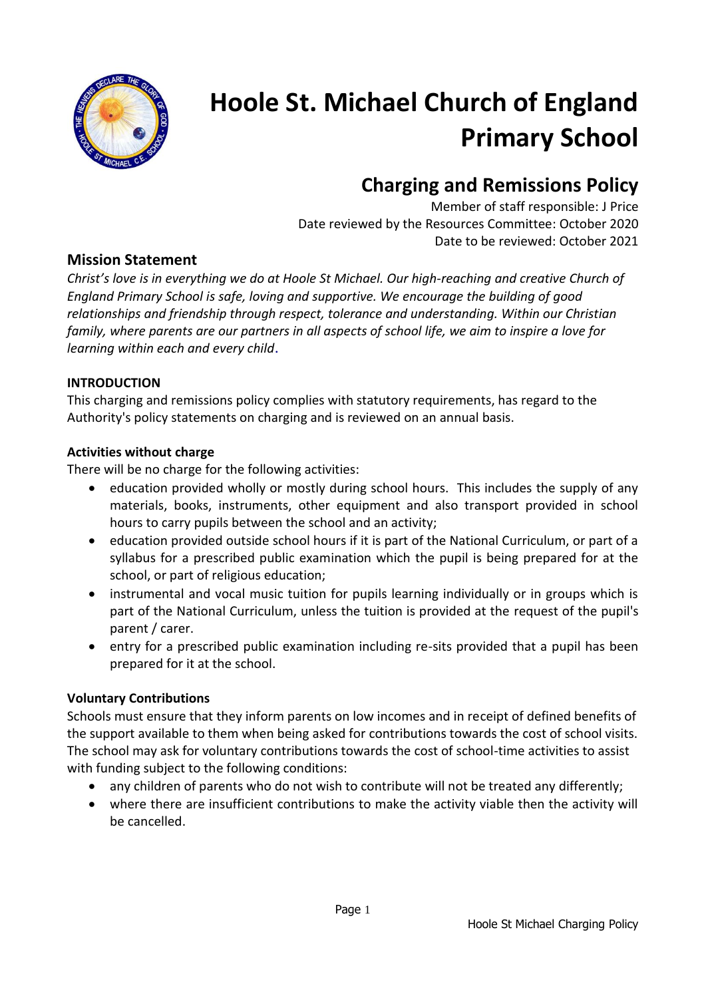

# **Hoole St. Michael Church of England Primary School**

# **Charging and Remissions Policy**

Member of staff responsible: J Price Date reviewed by the Resources Committee: October 2020 Date to be reviewed: October 2021

# **Mission Statement**

*Christ's love is in everything we do at Hoole St Michael. Our high-reaching and creative Church of England Primary School is safe, loving and supportive. We encourage the building of good relationships and friendship through respect, tolerance and understanding. Within our Christian family, where parents are our partners in all aspects of school life, we aim to inspire a love for learning within each and every child*.

#### **INTRODUCTION**

This charging and remissions policy complies with statutory requirements, has regard to the Authority's policy statements on charging and is reviewed on an annual basis.

#### **Activities without charge**

There will be no charge for the following activities:

- education provided wholly or mostly during school hours. This includes the supply of any materials, books, instruments, other equipment and also transport provided in school hours to carry pupils between the school and an activity;
- education provided outside school hours if it is part of the National Curriculum, or part of a syllabus for a prescribed public examination which the pupil is being prepared for at the school, or part of religious education;
- instrumental and vocal music tuition for pupils learning individually or in groups which is part of the National Curriculum, unless the tuition is provided at the request of the pupil's parent / carer.
- entry for a prescribed public examination including re-sits provided that a pupil has been prepared for it at the school.

### **Voluntary Contributions**

Schools must ensure that they inform parents on low incomes and in receipt of defined benefits of the support available to them when being asked for contributions towards the cost of school visits. The school may ask for voluntary contributions towards the cost of school-time activities to assist with funding subject to the following conditions:

- any children of parents who do not wish to contribute will not be treated any differently;
- where there are insufficient contributions to make the activity viable then the activity will be cancelled.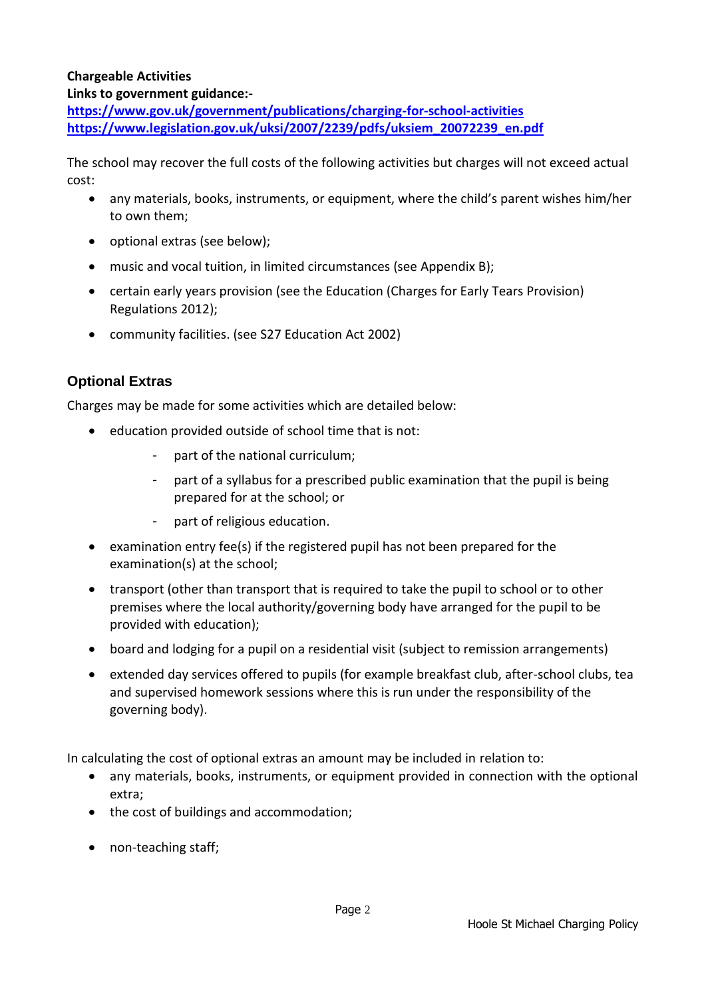#### **Chargeable Activities**

#### **Links to government guidance:-**

**<https://www.gov.uk/government/publications/charging-for-school-activities> [https://www.legislation.gov.uk/uksi/2007/2239/pdfs/uksiem\\_20072239\\_en.pdf](https://www.legislation.gov.uk/uksi/2007/2239/pdfs/uksiem_20072239_en.pdf)**

The school may recover the full costs of the following activities but charges will not exceed actual cost:

- any materials, books, instruments, or equipment, where the child's parent wishes him/her to own them;
- optional extras (see below):
- music and vocal tuition, in limited circumstances (see Appendix B);
- certain early years provision (see the Education (Charges for Early Tears Provision) Regulations 2012);
- community facilities. (see S27 Education Act 2002)

# **Optional Extras**

Charges may be made for some activities which are detailed below:

- education provided outside of school time that is not:
	- part of the national curriculum;
	- part of a syllabus for a prescribed public examination that the pupil is being prepared for at the school; or
	- part of religious education.
- examination entry fee(s) if the registered pupil has not been prepared for the examination(s) at the school;
- transport (other than transport that is required to take the pupil to school or to other premises where the local authority/governing body have arranged for the pupil to be provided with education);
- board and lodging for a pupil on a residential visit (subject to remission arrangements)
- extended day services offered to pupils (for example breakfast club, after-school clubs, tea and supervised homework sessions where this is run under the responsibility of the governing body).

In calculating the cost of optional extras an amount may be included in relation to:

- any materials, books, instruments, or equipment provided in connection with the optional extra;
- the cost of buildings and accommodation;
- non-teaching staff;